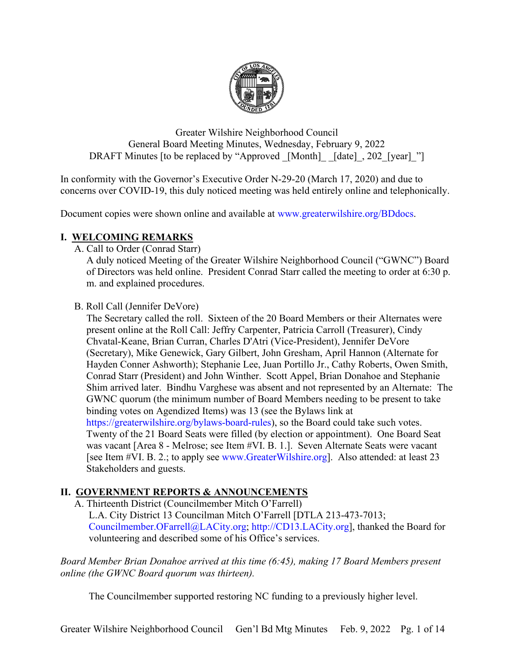

Greater Wilshire Neighborhood Council General Board Meeting Minutes, Wednesday, February 9, 2022 DRAFT Minutes [to be replaced by "Approved [Month] [date], 202 [year] "]

In conformity with the Governor's Executive Order N-29-20 (March 17, 2020) and due to concerns over COVID-19, this duly noticed meeting was held entirely online and telephonically.

Document copies were shown online and available at [www.greaterwilshire.org/BDdocs.](http://www.greaterwilshire.org/BDdocs)

# **I. WELCOMING REMARKS**

A. Call to Order (Conrad Starr)

A duly noticed Meeting of the Greater Wilshire Neighborhood Council ("GWNC") Board of Directors was held online. President Conrad Starr called the meeting to order at 6:30 p. m. and explained procedures.

B. Roll Call (Jennifer DeVore)

The Secretary called the roll. Sixteen of the 20 Board Members or their Alternates were present online at the Roll Call: Jeffry Carpenter, Patricia Carroll (Treasurer), Cindy Chvatal-Keane, Brian Curran, Charles D'Atri (Vice-President), Jennifer DeVore (Secretary), Mike Genewick, Gary Gilbert, John Gresham, April Hannon (Alternate for Hayden Conner Ashworth); Stephanie Lee, Juan Portillo Jr., Cathy Roberts, Owen Smith, Conrad Starr (President) and John Winther. Scott Appel, Brian Donahoe and Stephanie Shim arrived later. Bindhu Varghese was absent and not represented by an Alternate: The GWNC quorum (the minimum number of Board Members needing to be present to take binding votes on Agendized Items) was 13 (see the Bylaws link at [https://greaterwilshire.org/bylaws-board-rules\)](https://greaterwilshire.org/bylaws-board-rules), so the Board could take such votes. Twenty of the 21 Board Seats were filled (by election or appointment). One Board Seat was vacant [Area 8 - Melrose; see Item #VI. B. 1.]. Seven Alternate Seats were vacant [see Item #VI. B. 2.; to apply see [www.GreaterWilshire.org\]](http://www.greaterwilshire.org/). Also attended: at least 23 Stakeholders and guests.

# **II. GOVERNMENT REPORTS & ANNOUNCEMENTS**

A. Thirteenth District (Councilmember Mitch O'Farrell)

L.A. City District 13 Councilman Mitch O'Farrell [DTLA 213-473-7013; [Councilmember.OFarrell@LACity.org;](mailto:Councilmember.OFarrell@LACity.org) [http://CD13.LACity.org\]](http://cd13.lacity.org/), thanked the Board for volunteering and described some of his Office's services.

*Board Member Brian Donahoe arrived at this time (6:45), making 17 Board Members present online (the GWNC Board quorum was thirteen).*

The Councilmember supported restoring NC funding to a previously higher level.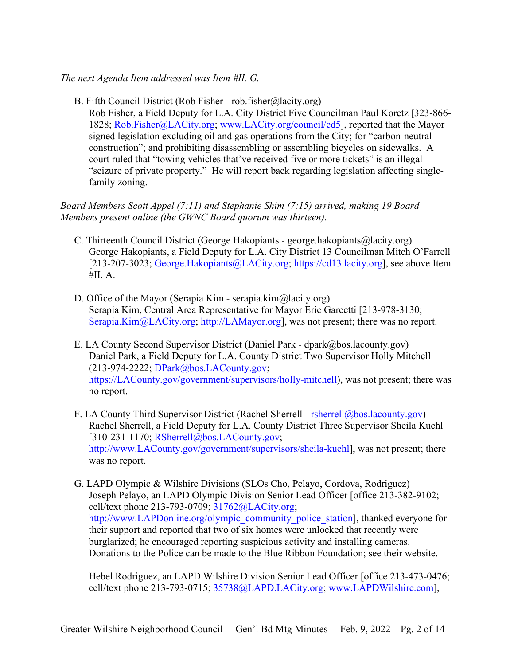## *The next Agenda Item addressed was Item #II. G.*

B. Fifth Council District (Rob Fisher - rob.fisher@lacity.org)

Rob Fisher, a Field Deputy for L.A. City District Five Councilman Paul Koretz [323-866- 1828; [Rob.Fisher@LACity.org;](mailto:Rob.Fisher@LACity.org) [www.LACity.org/council/cd5\]](http://www.lacity.org/council/cd5), reported that the Mayor signed legislation excluding oil and gas operations from the City; for "carbon-neutral construction"; and prohibiting disassembling or assembling bicycles on sidewalks. A court ruled that "towing vehicles that've received five or more tickets" is an illegal "seizure of private property." He will report back regarding legislation affecting singlefamily zoning.

*Board Members Scott Appel (7:11) and Stephanie Shim (7:15) arrived, making 19 Board Members present online (the GWNC Board quorum was thirteen).*

- C. Thirteenth Council District (George Hakopiants george.hakopiants@lacity.org) George Hakopiants, a Field Deputy for L.A. City District 13 Councilman Mitch O'Farrell [213-207-3023; [George.Hakopiants@LACity.org;](mailto:George.Hakopiants@LACity.org) [https://cd13.lacity.org\]](https://cd13.lacity.org/), see above Item  $#II. A.$
- D. Office of the Mayor (Serapia Kim serapia.kim@lacity.org) Serapia Kim, Central Area Representative for Mayor Eric Garcetti [213-978-3130; [Serapia.Kim@LACity.org;](mailto:%20Serapia.Kim@LACity.org) [http://LAMayor.org\]](http://lamayor.org/), was not present; there was no report.
- E. LA County Second Supervisor District (Daniel Park dpark@bos.lacounty.gov) Daniel Park, a Field Deputy for L.A. County District Two Supervisor Holly Mitchell (213-974-2222; [DPark@bos.LACounty.gov;](mailto:DPark@bos.LACounty.gov) [https://LACounty.gov/government/supervisors/holly-mitchell\)](https://lacounty.gov/government/supervisors/holly-mitchell), was not present; there was no report.
- F. LA County Third Supervisor District (Rachel Sherrell [rsherrell@bos.lacounty.gov\)](mailto:rsherrell@bos.lacounty.gov) Rachel Sherrell, a Field Deputy for L.A. County District Three Supervisor Sheila Kuehl  $[310-231-1170; RSherrell@bos.LACounty.gov;$  $[310-231-1170; RSherrell@bos.LACounty.gov;$ [http://www.LACounty.gov/government/supervisors/sheila-kuehl\]](http://www.lacounty.gov/government/supervisors/sheila-kuehl), was not present; there was no report.
- G. LAPD Olympic & Wilshire Divisions (SLOs Cho, Pelayo, Cordova, Rodriguez) Joseph Pelayo, an LAPD Olympic Division Senior Lead Officer [office 213-382-9102; cell/text phone 213-793-0709; [31762@LACity.org;](mailto:31762@LACity.org) [http://www.LAPDonline.org/olympic\\_community\\_police\\_station\]](http://www.lapdonline.org/olympic_community_police_station), thanked everyone for their support and reported that two of six homes were unlocked that recently were burglarized; he encouraged reporting suspicious activity and installing cameras. Donations to the Police can be made to the Blue Ribbon Foundation; see their website.

Hebel Rodriguez, an LAPD Wilshire Division Senior Lead Officer [office 213-473-0476; cell/text phone 213-793-0715; [35738@LAPD.LACity.org;](mailto:35738@LAPD.LACity.org) [www.LAPDWilshire.com\]](http://www.lapdwilshire.com/),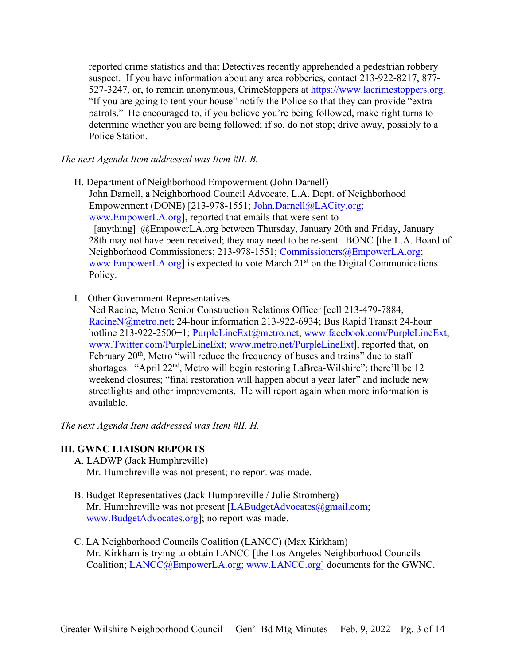reported crime statistics and that Detectives recently apprehended a pedestrian robbery suspect. If you have information about any area robberies, contact 213-922-8217, 877- 527-3247, or, to remain anonymous, CrimeStoppers at [https://www.lacrimestoppers.org.](https://www.lacrimestoppers.org/) "If you are going to tent your house" notify the Police so that they can provide "extra patrols." He encouraged to, if you believe you're being followed, make right turns to determine whether you are being followed; if so, do not stop; drive away, possibly to a Police Station.

*The next Agenda Item addressed was Item #II. B.*

- H. Department of Neighborhood Empowerment (John Darnell) John Darnell, a Neighborhood Council Advocate, L.A. Dept. of Neighborhood Empowerment (DONE) [213-978-1551; [John.Darnell@LACity.org;](mailto:John.Darnell@LACity.org) [www.EmpowerLA.org\]](http://www.empowerla.org/), reported that emails that were sent to \_[anything]\_@EmpowerLA.org between Thursday, January 20th and Friday, January 28th may not have been received; they may need to be re-sent. BONC [the L.A. Board of Neighborhood Commissioners; 213-978-1551; [Commissioners@EmpowerLA.org;](mailto:Commissioners@EmpowerLA.org) [www.EmpowerLA.org\]](http://www.empowerla.org/) is expected to vote March  $21<sup>st</sup>$  on the Digital Communications Policy.
- I. Other Government Representatives
	- Ned Racine, Metro Senior Construction Relations Officer [cell 213-479-7884, [RacineN@metro.net;](mailto:RacineN@metro.net) 24-hour information 213-922-6934; Bus Rapid Transit 24-hour hotline 213-922-2500+1; [PurpleLineExt@metro.net;](mailto:PurpleLineExt@metro.net) [www.facebook.com/PurpleLineExt;](http://www.facebook.com/PurpleLineExt) [www.Twitter.com/PurpleLineExt;](http://www.twitter.com/PurpleLineExt) [www.metro.net/PurpleLineExt\]](http://www.metro.net/PurpleLineExt), reported that, on February  $20<sup>th</sup>$ , Metro "will reduce the frequency of buses and trains" due to staff shortages. "April 22<sup>nd</sup>, Metro will begin restoring LaBrea-Wilshire"; there'll be 12 weekend closures; "final restoration will happen about a year later" and include new streetlights and other improvements. He will report again when more information is available.

*The next Agenda Item addressed was Item #II. H.*

#### **III. GWNC LIAISON REPORTS**

- A. LADWP (Jack Humphreville) Mr. Humphreville was not present; no report was made.
- B. Budget Representatives (Jack Humphreville / Julie Stromberg) Mr. Humphreville was not present [\[LABudgetAdvocates@gmail.com;](mailto:LABudgetAdvocates@gmail.com) [www.BudgetAdvocates.org\]](http://www.budgetadvocates.org/); no report was made.
- C. LA Neighborhood Councils Coalition (LANCC) (Max Kirkham) Mr. Kirkham is trying to obtain LANCC [the Los Angeles Neighborhood Councils Coalition; [LANCC@EmpowerLA.org;](mailto:LANCC@EmpowerLA.org) [www.LANCC.org\]](http://www.lancc.org/) documents for the GWNC.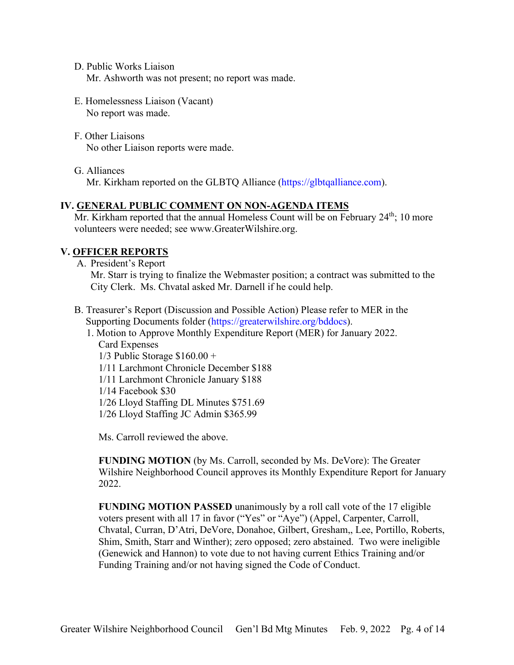D. Public Works Liaison Mr. Ashworth was not present; no report was made.

- E. Homelessness Liaison (Vacant) No report was made.
- F. Other Liaisons No other Liaison reports were made.

G. Alliances Mr. Kirkham reported on the GLBTQ Alliance [\(https://glbtqalliance.com\)](https://glbtqalliance.com/).

## **IV. GENERAL PUBLIC COMMENT ON NON-AGENDA ITEMS**

Mr. Kirkham reported that the annual Homeless Count will be on February  $24<sup>th</sup>$ ; 10 more volunteers were needed; see www.GreaterWilshire.org.

# **V. OFFICER REPORTS**

A. President's Report

Mr. Starr is trying to finalize the Webmaster position; a contract was submitted to the City Clerk. Ms. Chvatal asked Mr. Darnell if he could help.

B. Treasurer's Report (Discussion and Possible Action) Please refer to MER in the Supporting Documents folder [\(https://greaterwilshire.org/bddocs\)](https://greaterwilshire.org/bddocs).

1. Motion to Approve Monthly Expenditure Report (MER) for January 2022. Card Expenses 1/3 Public Storage \$160.00 + 1/11 Larchmont Chronicle December \$188 1/11 Larchmont Chronicle January \$188 1/14 Facebook \$30

1/26 Lloyd Staffing DL Minutes \$751.69

1/26 Lloyd Staffing JC Admin \$365.99

Ms. Carroll reviewed the above.

**FUNDING MOTION** (by Ms. Carroll, seconded by Ms. DeVore): The Greater Wilshire Neighborhood Council approves its Monthly Expenditure Report for January 2022.

**FUNDING MOTION PASSED** unanimously by a roll call vote of the 17 eligible voters present with all 17 in favor ("Yes" or "Aye") (Appel, Carpenter, Carroll, Chvatal, Curran, D'Atri, DeVore, Donahoe, Gilbert, Gresham,, Lee, Portillo, Roberts, Shim, Smith, Starr and Winther); zero opposed; zero abstained. Two were ineligible (Genewick and Hannon) to vote due to not having current Ethics Training and/or Funding Training and/or not having signed the Code of Conduct.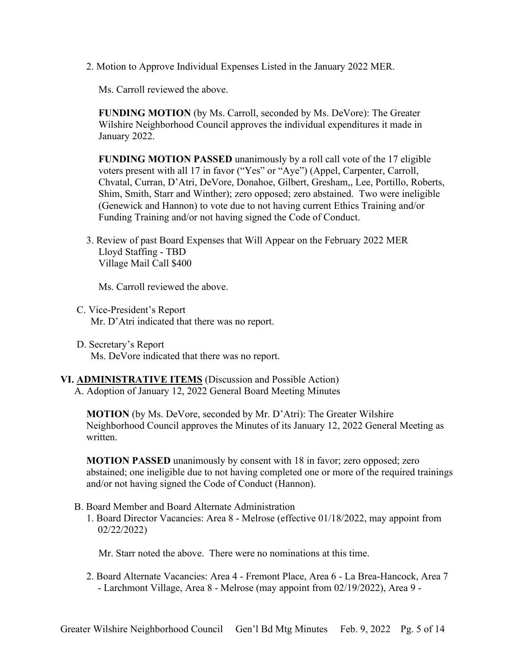2. Motion to Approve Individual Expenses Listed in the January 2022 MER.

Ms. Carroll reviewed the above.

**FUNDING MOTION** (by Ms. Carroll, seconded by Ms. DeVore): The Greater Wilshire Neighborhood Council approves the individual expenditures it made in January 2022.

**FUNDING MOTION PASSED** unanimously by a roll call vote of the 17 eligible voters present with all 17 in favor ("Yes" or "Aye") (Appel, Carpenter, Carroll, Chvatal, Curran, D'Atri, DeVore, Donahoe, Gilbert, Gresham,, Lee, Portillo, Roberts, Shim, Smith, Starr and Winther); zero opposed; zero abstained. Two were ineligible (Genewick and Hannon) to vote due to not having current Ethics Training and/or Funding Training and/or not having signed the Code of Conduct.

3. Review of past Board Expenses that Will Appear on the February 2022 MER Lloyd Staffing - TBD Village Mail Call \$400

Ms. Carroll reviewed the above.

- C. Vice-President's Report Mr. D'Atri indicated that there was no report.
- D. Secretary's Report Ms. DeVore indicated that there was no report.

## **VI. ADMINISTRATIVE ITEMS** (Discussion and Possible Action) A. Adoption of January 12, 2022 General Board Meeting Minutes

**MOTION** (by Ms. DeVore, seconded by Mr. D'Atri): The Greater Wilshire Neighborhood Council approves the Minutes of its January 12, 2022 General Meeting as written.

**MOTION PASSED** unanimously by consent with 18 in favor; zero opposed; zero abstained; one ineligible due to not having completed one or more of the required trainings and/or not having signed the Code of Conduct (Hannon).

- B. Board Member and Board Alternate Administration
	- 1. Board Director Vacancies: Area 8 Melrose (effective 01/18/2022, may appoint from 02/22/2022)

Mr. Starr noted the above. There were no nominations at this time.

2. Board Alternate Vacancies: Area 4 - Fremont Place, Area 6 - La Brea-Hancock, Area 7 - Larchmont Village, Area 8 - Melrose (may appoint from 02/19/2022), Area 9 -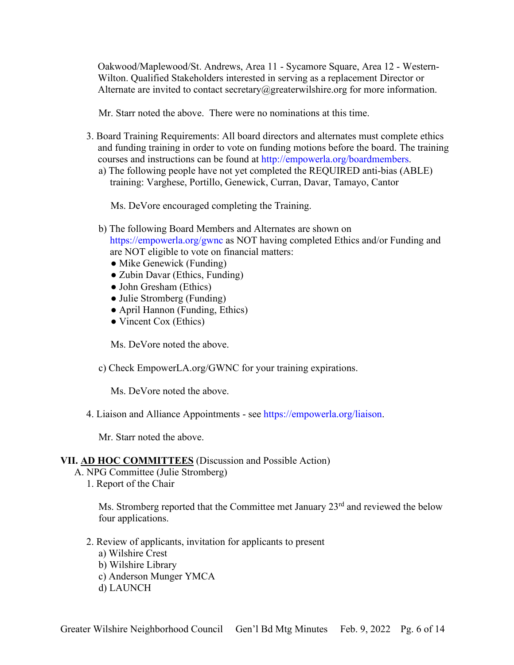Oakwood/Maplewood/St. Andrews, Area 11 - Sycamore Square, Area 12 - Western-Wilton. Qualified Stakeholders interested in serving as a replacement Director or Alternate are invited to contact secretary@greaterwilshire.org for more information.

Mr. Starr noted the above. There were no nominations at this time.

- 3. Board Training Requirements: All board directors and alternates must complete ethics and funding training in order to vote on funding motions before the board. The training courses and instructions can be found at [http://empowerla.org/boardmembers.](http://empowerla.org/boardmembers)
	- a) The following people have not yet completed the REQUIRED anti-bias (ABLE) training: Varghese, Portillo, Genewick, Curran, Davar, Tamayo, Cantor

Ms. DeVore encouraged completing the Training.

- b) The following Board Members and Alternates are shown on <https://empowerla.org/gwnc> as NOT having completed Ethics and/or Funding and are NOT eligible to vote on financial matters:
	- Mike Genewick (Funding)
	- Zubin Davar (Ethics, Funding)
	- John Gresham (Ethics)
	- Julie Stromberg (Funding)
	- April Hannon (Funding, Ethics)
	- Vincent Cox (Ethics)

Ms. DeVore noted the above.

c) Check EmpowerLA.org/GWNC for your training expirations.

Ms. DeVore noted the above.

4. Liaison and Alliance Appointments - see [https://empowerla.org/liaison.](https://empowerla.org/liaison)

Mr. Starr noted the above.

#### **VII. AD HOC COMMITTEES** (Discussion and Possible Action)

A. NPG Committee (Julie Stromberg)

1. Report of the Chair

Ms. Stromberg reported that the Committee met January 23<sup>rd</sup> and reviewed the below four applications.

- 2. Review of applicants, invitation for applicants to present
	- a) Wilshire Crest
	- b) Wilshire Library
	- c) Anderson Munger YMCA
	- d) LAUNCH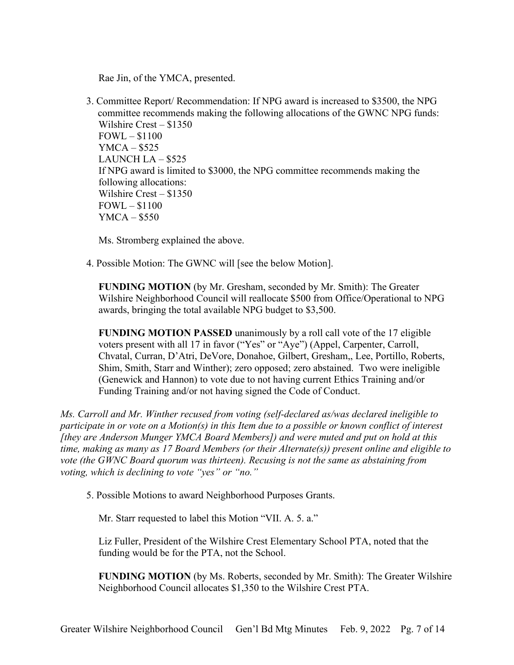Rae Jin, of the YMCA, presented.

3. Committee Report/ Recommendation: If NPG award is increased to \$3500, the NPG committee recommends making the following allocations of the GWNC NPG funds: Wilshire Crest – \$1350  $FOWL - $1100$ YMCA – \$525 LAUNCH LA – \$525 If NPG award is limited to \$3000, the NPG committee recommends making the following allocations: Wilshire Crest – \$1350 FOWL – \$1100  $YMCA - $550$ 

Ms. Stromberg explained the above.

4. Possible Motion: The GWNC will [see the below Motion].

**FUNDING MOTION** (by Mr. Gresham, seconded by Mr. Smith): The Greater Wilshire Neighborhood Council will reallocate \$500 from Office/Operational to NPG awards, bringing the total available NPG budget to \$3,500.

**FUNDING MOTION PASSED** unanimously by a roll call vote of the 17 eligible voters present with all 17 in favor ("Yes" or "Aye") (Appel, Carpenter, Carroll, Chvatal, Curran, D'Atri, DeVore, Donahoe, Gilbert, Gresham,, Lee, Portillo, Roberts, Shim, Smith, Starr and Winther); zero opposed; zero abstained. Two were ineligible (Genewick and Hannon) to vote due to not having current Ethics Training and/or Funding Training and/or not having signed the Code of Conduct.

*Ms. Carroll and Mr. Winther recused from voting (self-declared as/was declared ineligible to participate in or vote on a Motion(s) in this Item due to a possible or known conflict of interest [they are Anderson Munger YMCA Board Members]) and were muted and put on hold at this time, making as many as 17 Board Members (or their Alternate(s)) present online and eligible to vote (the GWNC Board quorum was thirteen). Recusing is not the same as abstaining from voting, which is declining to vote "yes" or "no."*

5. Possible Motions to award Neighborhood Purposes Grants.

Mr. Starr requested to label this Motion "VII. A. 5. a."

Liz Fuller, President of the Wilshire Crest Elementary School PTA, noted that the funding would be for the PTA, not the School.

**FUNDING MOTION** (by Ms. Roberts, seconded by Mr. Smith): The Greater Wilshire Neighborhood Council allocates \$1,350 to the Wilshire Crest PTA.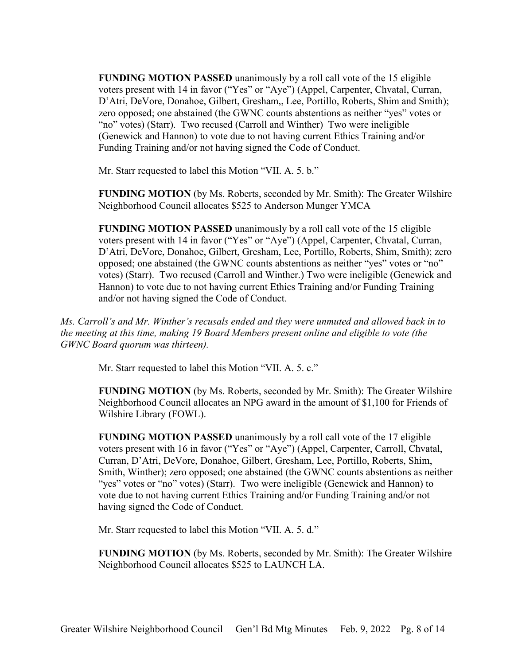**FUNDING MOTION PASSED** unanimously by a roll call vote of the 15 eligible voters present with 14 in favor ("Yes" or "Aye") (Appel, Carpenter, Chvatal, Curran, D'Atri, DeVore, Donahoe, Gilbert, Gresham,, Lee, Portillo, Roberts, Shim and Smith); zero opposed; one abstained (the GWNC counts abstentions as neither "yes" votes or "no" votes) (Starr). Two recused (Carroll and Winther) Two were ineligible (Genewick and Hannon) to vote due to not having current Ethics Training and/or Funding Training and/or not having signed the Code of Conduct.

Mr. Starr requested to label this Motion "VII. A. 5. b."

**FUNDING MOTION** (by Ms. Roberts, seconded by Mr. Smith): The Greater Wilshire Neighborhood Council allocates \$525 to Anderson Munger YMCA

**FUNDING MOTION PASSED** unanimously by a roll call vote of the 15 eligible voters present with 14 in favor ("Yes" or "Aye") (Appel, Carpenter, Chvatal, Curran, D'Atri, DeVore, Donahoe, Gilbert, Gresham, Lee, Portillo, Roberts, Shim, Smith); zero opposed; one abstained (the GWNC counts abstentions as neither "yes" votes or "no" votes) (Starr). Two recused (Carroll and Winther.) Two were ineligible (Genewick and Hannon) to vote due to not having current Ethics Training and/or Funding Training and/or not having signed the Code of Conduct.

*Ms. Carroll's and Mr. Winther's recusals ended and they were unmuted and allowed back in to the meeting at this time, making 19 Board Members present online and eligible to vote (the GWNC Board quorum was thirteen).*

Mr. Starr requested to label this Motion "VII. A. 5. c."

**FUNDING MOTION** (by Ms. Roberts, seconded by Mr. Smith): The Greater Wilshire Neighborhood Council allocates an NPG award in the amount of \$1,100 for Friends of Wilshire Library (FOWL).

**FUNDING MOTION PASSED** unanimously by a roll call vote of the 17 eligible voters present with 16 in favor ("Yes" or "Aye") (Appel, Carpenter, Carroll, Chvatal, Curran, D'Atri, DeVore, Donahoe, Gilbert, Gresham, Lee, Portillo, Roberts, Shim, Smith, Winther); zero opposed; one abstained (the GWNC counts abstentions as neither "yes" votes or "no" votes) (Starr). Two were ineligible (Genewick and Hannon) to vote due to not having current Ethics Training and/or Funding Training and/or not having signed the Code of Conduct.

Mr. Starr requested to label this Motion "VII. A. 5. d."

**FUNDING MOTION** (by Ms. Roberts, seconded by Mr. Smith): The Greater Wilshire Neighborhood Council allocates \$525 to LAUNCH LA.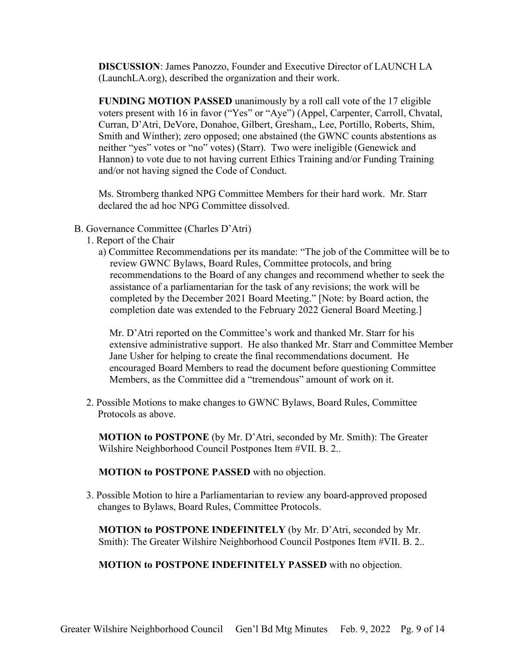**DISCUSSION**: James Panozzo, Founder and Executive Director of LAUNCH LA (LaunchLA.org), described the organization and their work.

**FUNDING MOTION PASSED** unanimously by a roll call vote of the 17 eligible voters present with 16 in favor ("Yes" or "Aye") (Appel, Carpenter, Carroll, Chvatal, Curran, D'Atri, DeVore, Donahoe, Gilbert, Gresham,, Lee, Portillo, Roberts, Shim, Smith and Winther); zero opposed; one abstained (the GWNC counts abstentions as neither "yes" votes or "no" votes) (Starr). Two were ineligible (Genewick and Hannon) to vote due to not having current Ethics Training and/or Funding Training and/or not having signed the Code of Conduct.

Ms. Stromberg thanked NPG Committee Members for their hard work. Mr. Starr declared the ad hoc NPG Committee dissolved.

- B. Governance Committee (Charles D'Atri)
	- 1. Report of the Chair
		- a) Committee Recommendations per its mandate: "The job of the Committee will be to review GWNC Bylaws, Board Rules, Committee protocols, and bring recommendations to the Board of any changes and recommend whether to seek the assistance of a parliamentarian for the task of any revisions; the work will be completed by the December 2021 Board Meeting." [Note: by Board action, the completion date was extended to the February 2022 General Board Meeting.]

Mr. D'Atri reported on the Committee's work and thanked Mr. Starr for his extensive administrative support. He also thanked Mr. Starr and Committee Member Jane Usher for helping to create the final recommendations document. He encouraged Board Members to read the document before questioning Committee Members, as the Committee did a "tremendous" amount of work on it.

2. Possible Motions to make changes to GWNC Bylaws, Board Rules, Committee Protocols as above.

**MOTION to POSTPONE** (by Mr. D'Atri, seconded by Mr. Smith): The Greater Wilshire Neighborhood Council Postpones Item #VII. B. 2..

**MOTION to POSTPONE PASSED** with no objection.

3. Possible Motion to hire a Parliamentarian to review any board-approved proposed changes to Bylaws, Board Rules, Committee Protocols.

**MOTION to POSTPONE INDEFINITELY** (by Mr. D'Atri, seconded by Mr. Smith): The Greater Wilshire Neighborhood Council Postpones Item #VII. B. 2..

**MOTION to POSTPONE INDEFINITELY PASSED** with no objection.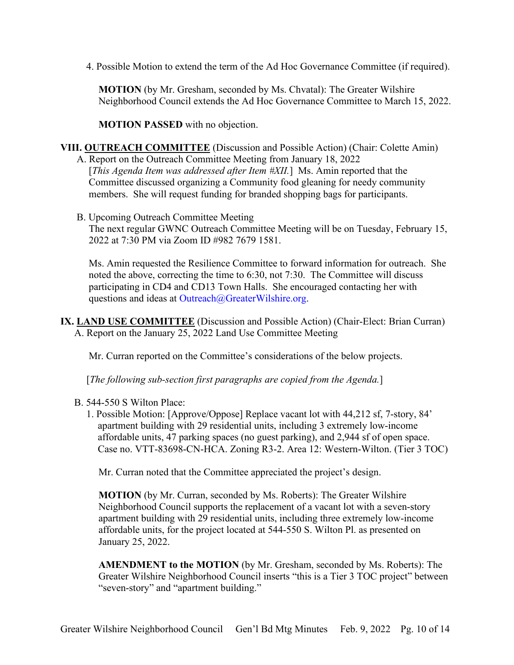4. Possible Motion to extend the term of the Ad Hoc Governance Committee (if required).

**MOTION** (by Mr. Gresham, seconded by Ms. Chvatal): The Greater Wilshire Neighborhood Council extends the Ad Hoc Governance Committee to March 15, 2022.

**MOTION PASSED** with no objection.

## **VIII. OUTREACH COMMITTEE** (Discussion and Possible Action) (Chair: Colette Amin)

A. Report on the Outreach Committee Meeting from January 18, 2022 [*This Agenda Item was addressed after Item #XII*.] Ms. Amin reported that the Committee discussed organizing a Community food gleaning for needy community members. She will request funding for branded shopping bags for participants.

B. Upcoming Outreach Committee Meeting The next regular GWNC Outreach Committee Meeting will be on Tuesday, February 15, 2022 at 7:30 PM via Zoom ID #982 7679 1581.

Ms. Amin requested the Resilience Committee to forward information for outreach. She noted the above, correcting the time to 6:30, not 7:30. The Committee will discuss participating in CD4 and CD13 Town Halls. She encouraged contacting her with questions and ideas at [Outreach@GreaterWilshire.org.](mailto:Outreach@GreaterWilshire.org)

**IX. LAND USE COMMITTEE** (Discussion and Possible Action) (Chair-Elect: Brian Curran) A. Report on the January 25, 2022 Land Use Committee Meeting

Mr. Curran reported on the Committee's considerations of the below projects.

[*The following sub-section first paragraphs are copied from the Agenda.*]

## B. 544-550 S Wilton Place:

1. Possible Motion: [Approve/Oppose] Replace vacant lot with 44,212 sf, 7-story, 84' apartment building with 29 residential units, including 3 extremely low-income affordable units, 47 parking spaces (no guest parking), and 2,944 sf of open space. Case no. VTT-83698-CN-HCA. Zoning R3-2. Area 12: Western-Wilton. (Tier 3 TOC)

Mr. Curran noted that the Committee appreciated the project's design.

**MOTION** (by Mr. Curran, seconded by Ms. Roberts): The Greater Wilshire Neighborhood Council supports the replacement of a vacant lot with a seven-story apartment building with 29 residential units, including three extremely low-income affordable units, for the project located at 544-550 S. Wilton Pl. as presented on January 25, 2022.

**AMENDMENT to the MOTION** (by Mr. Gresham, seconded by Ms. Roberts): The Greater Wilshire Neighborhood Council inserts "this is a Tier 3 TOC project" between "seven-story" and "apartment building."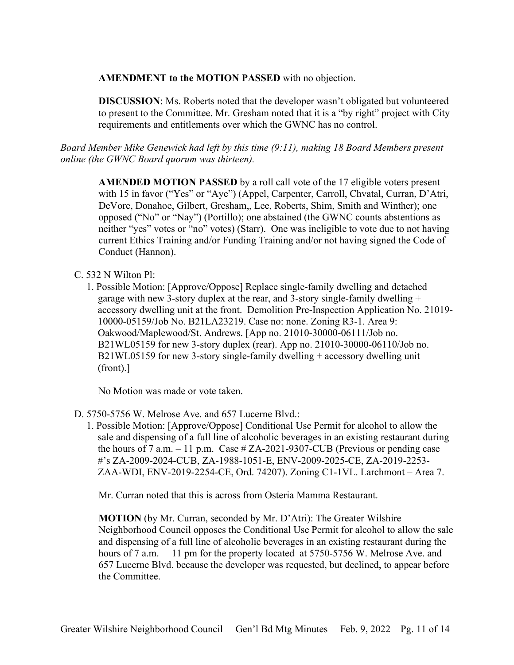## **AMENDMENT to the MOTION PASSED** with no objection.

**DISCUSSION**: Ms. Roberts noted that the developer wasn't obligated but volunteered to present to the Committee. Mr. Gresham noted that it is a "by right" project with City requirements and entitlements over which the GWNC has no control.

*Board Member Mike Genewick had left by this time (9:11), making 18 Board Members present online (the GWNC Board quorum was thirteen).*

**AMENDED MOTION PASSED** by a roll call vote of the 17 eligible voters present with 15 in favor ("Yes" or "Aye") (Appel, Carpenter, Carroll, Chvatal, Curran, D'Atri, DeVore, Donahoe, Gilbert, Gresham,, Lee, Roberts, Shim, Smith and Winther); one opposed ("No" or "Nay") (Portillo); one abstained (the GWNC counts abstentions as neither "yes" votes or "no" votes) (Starr). One was ineligible to vote due to not having current Ethics Training and/or Funding Training and/or not having signed the Code of Conduct (Hannon).

## C. 532 N Wilton Pl:

1. Possible Motion: [Approve/Oppose] Replace single-family dwelling and detached garage with new 3-story duplex at the rear, and 3-story single-family dwelling + accessory dwelling unit at the front. Demolition Pre-Inspection Application No. 21019- 10000-05159/Job No. B21LA23219. Case no: none. Zoning R3-1. Area 9: Oakwood/Maplewood/St. Andrews. [App no. 21010-30000-06111/Job no. B21WL05159 for new 3-story duplex (rear). App no. 21010-30000-06110/Job no. B21WL05159 for new 3-story single-family dwelling + accessory dwelling unit (front).]

No Motion was made or vote taken.

- D. 5750-5756 W. Melrose Ave. and 657 Lucerne Blvd.:
	- 1. Possible Motion: [Approve/Oppose] Conditional Use Permit for alcohol to allow the sale and dispensing of a full line of alcoholic beverages in an existing restaurant during the hours of 7 a.m.  $-11$  p.m. Case # ZA-2021-9307-CUB (Previous or pending case #'s ZA-2009-2024-CUB, ZA-1988-1051-E, ENV-2009-2025-CE, ZA-2019-2253- ZAA-WDI, ENV-2019-2254-CE, Ord. 74207). Zoning C1-1VL. Larchmont – Area 7.

Mr. Curran noted that this is across from Osteria Mamma Restaurant.

**MOTION** (by Mr. Curran, seconded by Mr. D'Atri): The Greater Wilshire Neighborhood Council opposes the Conditional Use Permit for alcohol to allow the sale and dispensing of a full line of alcoholic beverages in an existing restaurant during the hours of 7 a.m. – 11 pm for the property located at 5750-5756 W. Melrose Ave. and 657 Lucerne Blvd. because the developer was requested, but declined, to appear before the Committee.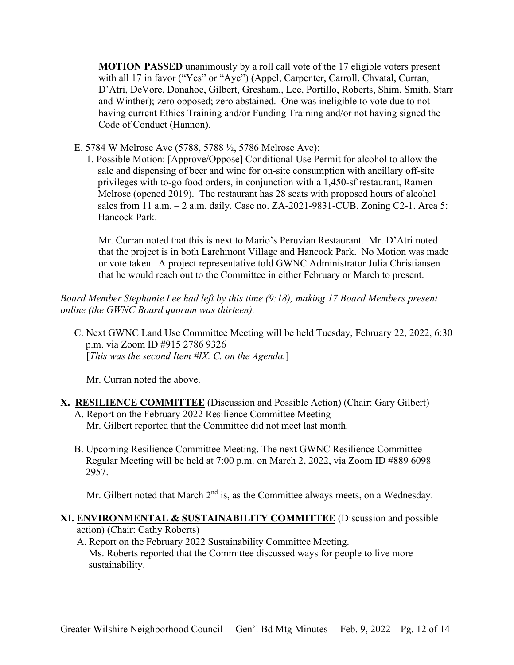**MOTION PASSED** unanimously by a roll call vote of the 17 eligible voters present with all 17 in favor ("Yes" or "Aye") (Appel, Carpenter, Carroll, Chvatal, Curran, D'Atri, DeVore, Donahoe, Gilbert, Gresham,, Lee, Portillo, Roberts, Shim, Smith, Starr and Winther); zero opposed; zero abstained. One was ineligible to vote due to not having current Ethics Training and/or Funding Training and/or not having signed the Code of Conduct (Hannon).

E. 5784 W Melrose Ave (5788, 5788 ½, 5786 Melrose Ave):

1. Possible Motion: [Approve/Oppose] Conditional Use Permit for alcohol to allow the sale and dispensing of beer and wine for on-site consumption with ancillary off-site privileges with to-go food orders, in conjunction with a 1,450-sf restaurant, Ramen Melrose (opened 2019). The restaurant has 28 seats with proposed hours of alcohol sales from 11 a.m. – 2 a.m. daily. Case no. ZA-2021-9831-CUB. Zoning C2-1. Area 5: Hancock Park.

Mr. Curran noted that this is next to Mario's Peruvian Restaurant. Mr. D'Atri noted that the project is in both Larchmont Village and Hancock Park. No Motion was made or vote taken. A project representative told GWNC Administrator Julia Christiansen that he would reach out to the Committee in either February or March to present.

*Board Member Stephanie Lee had left by this time (9:18), making 17 Board Members present online (the GWNC Board quorum was thirteen).*

C. Next GWNC Land Use Committee Meeting will be held Tuesday, February 22, 2022, 6:30 p.m. via Zoom ID #915 2786 9326 [*This was the second Item #IX. C. on the Agenda.*]

Mr. Curran noted the above.

- **X. RESILIENCE COMMITTEE** (Discussion and Possible Action) (Chair: Gary Gilbert) A. Report on the February 2022 Resilience Committee Meeting Mr. Gilbert reported that the Committee did not meet last month.
	- B. Upcoming Resilience Committee Meeting. The next GWNC Resilience Committee Regular Meeting will be held at 7:00 p.m. on March 2, 2022, via Zoom ID #889 6098 2957.

Mr. Gilbert noted that March  $2<sup>nd</sup>$  is, as the Committee always meets, on a Wednesday.

#### **XI. ENVIRONMENTAL & SUSTAINABILITY COMMITTEE** (Discussion and possible action) (Chair: Cathy Roberts)

A. Report on the February 2022 Sustainability Committee Meeting. Ms. Roberts reported that the Committee discussed ways for people to live more sustainability.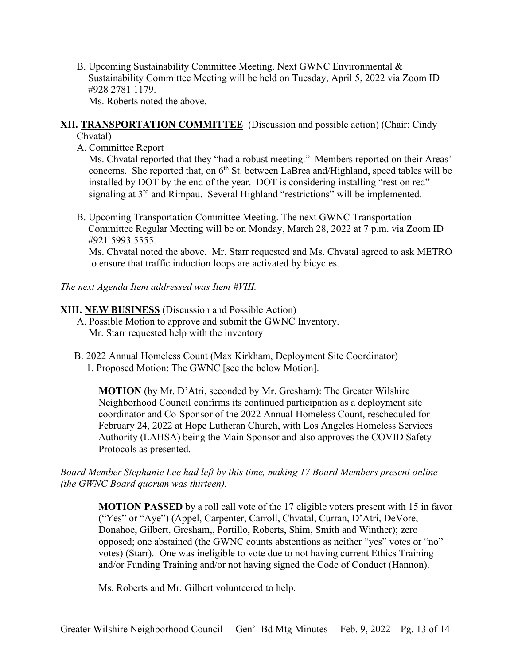B. Upcoming Sustainability Committee Meeting. Next GWNC Environmental & Sustainability Committee Meeting will be held on Tuesday, April 5, 2022 via Zoom ID #928 2781 1179.

Ms. Roberts noted the above.

## **XII. TRANSPORTATION COMMITTEE** (Discussion and possible action) (Chair: Cindy Chvatal)

A. Committee Report

Ms. Chvatal reported that they "had a robust meeting." Members reported on their Areas' concerns. She reported that, on  $6<sup>th</sup>$  St. between LaBrea and/Highland, speed tables will be installed by DOT by the end of the year. DOT is considering installing "rest on red" signaling at  $3<sup>rd</sup>$  and Rimpau. Several Highland "restrictions" will be implemented.

B. Upcoming Transportation Committee Meeting. The next GWNC Transportation Committee Regular Meeting will be on Monday, March 28, 2022 at 7 p.m. via Zoom ID #921 5993 5555.

Ms. Chvatal noted the above. Mr. Starr requested and Ms. Chvatal agreed to ask METRO to ensure that traffic induction loops are activated by bicycles.

*The next Agenda Item addressed was Item #VIII.*

## **XIII. NEW BUSINESS** (Discussion and Possible Action)

- A. Possible Motion to approve and submit the GWNC Inventory. Mr. Starr requested help with the inventory
- B. 2022 Annual Homeless Count (Max Kirkham, Deployment Site Coordinator) 1. Proposed Motion: The GWNC [see the below Motion].

**MOTION** (by Mr. D'Atri, seconded by Mr. Gresham): The Greater Wilshire Neighborhood Council confirms its continued participation as a deployment site coordinator and Co-Sponsor of the 2022 Annual Homeless Count, rescheduled for February 24, 2022 at Hope Lutheran Church, with Los Angeles Homeless Services Authority (LAHSA) being the Main Sponsor and also approves the COVID Safety Protocols as presented.

*Board Member Stephanie Lee had left by this time, making 17 Board Members present online (the GWNC Board quorum was thirteen).*

**MOTION PASSED** by a roll call vote of the 17 eligible voters present with 15 in favor ("Yes" or "Aye") (Appel, Carpenter, Carroll, Chvatal, Curran, D'Atri, DeVore, Donahoe, Gilbert, Gresham,, Portillo, Roberts, Shim, Smith and Winther); zero opposed; one abstained (the GWNC counts abstentions as neither "yes" votes or "no" votes) (Starr). One was ineligible to vote due to not having current Ethics Training and/or Funding Training and/or not having signed the Code of Conduct (Hannon).

Ms. Roberts and Mr. Gilbert volunteered to help.